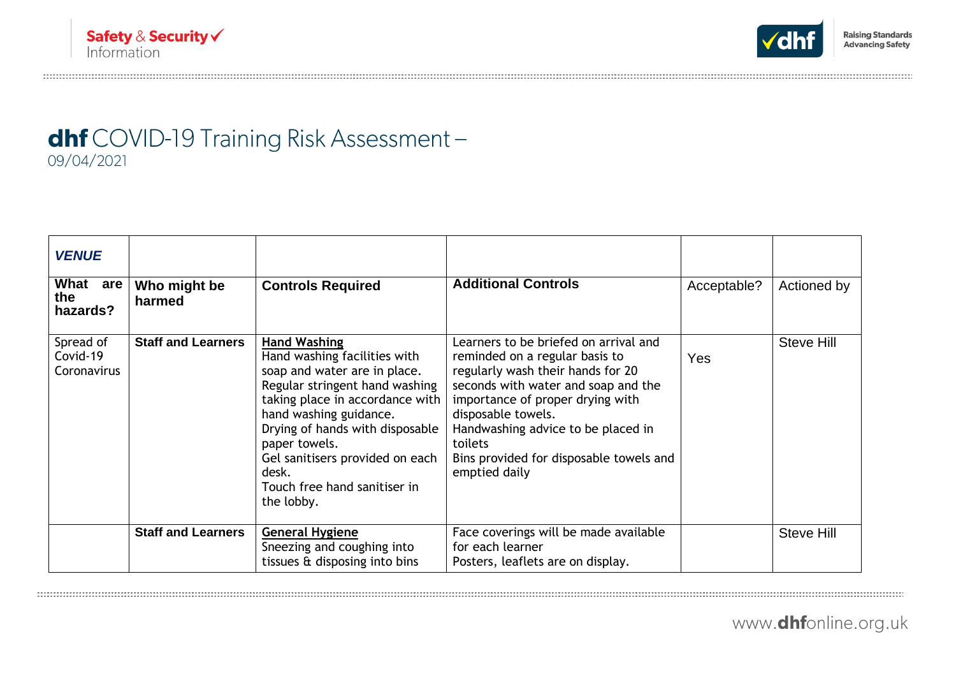

## dhf COVID-19 Training Risk Assessment-09/04/2021

| <b>VENUE</b>                         |                           |                                                                                                                                                                                                                                                                                                                                  |                                                                                                                                                                                                                                                                                                                            |             |                   |
|--------------------------------------|---------------------------|----------------------------------------------------------------------------------------------------------------------------------------------------------------------------------------------------------------------------------------------------------------------------------------------------------------------------------|----------------------------------------------------------------------------------------------------------------------------------------------------------------------------------------------------------------------------------------------------------------------------------------------------------------------------|-------------|-------------------|
| What<br>are<br>the<br>hazards?       | Who might be<br>harmed    | <b>Controls Required</b>                                                                                                                                                                                                                                                                                                         | <b>Additional Controls</b>                                                                                                                                                                                                                                                                                                 | Acceptable? | Actioned by       |
| Spread of<br>Covid-19<br>Coronavirus | <b>Staff and Learners</b> | <b>Hand Washing</b><br>Hand washing facilities with<br>soap and water are in place.<br>Regular stringent hand washing<br>taking place in accordance with<br>hand washing guidance.<br>Drying of hands with disposable<br>paper towels.<br>Gel sanitisers provided on each<br>desk.<br>Touch free hand sanitiser in<br>the lobby. | Learners to be briefed on arrival and<br>reminded on a regular basis to<br>regularly wash their hands for 20<br>seconds with water and soap and the<br>importance of proper drying with<br>disposable towels.<br>Handwashing advice to be placed in<br>toilets<br>Bins provided for disposable towels and<br>emptied daily | Yes         | <b>Steve Hill</b> |
|                                      | <b>Staff and Learners</b> | <b>General Hygiene</b><br>Sneezing and coughing into<br>tissues & disposing into bins                                                                                                                                                                                                                                            | Face coverings will be made available<br>for each learner<br>Posters, leaflets are on display.                                                                                                                                                                                                                             |             | Steve Hill        |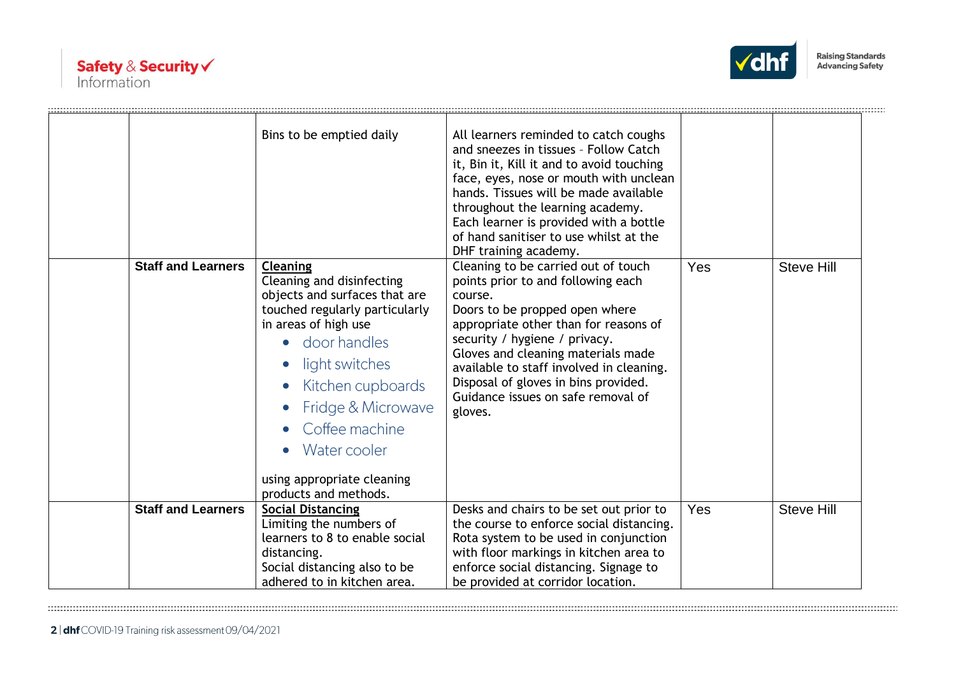



|                           | Bins to be emptied daily                                                                                                                                                                                                                                                                                        | All learners reminded to catch coughs<br>and sneezes in tissues - Follow Catch<br>it, Bin it, Kill it and to avoid touching<br>face, eyes, nose or mouth with unclean<br>hands. Tissues will be made available<br>throughout the learning academy.<br>Each learner is provided with a bottle<br>of hand sanitiser to use whilst at the<br>DHF training academy.             |     |                   |
|---------------------------|-----------------------------------------------------------------------------------------------------------------------------------------------------------------------------------------------------------------------------------------------------------------------------------------------------------------|-----------------------------------------------------------------------------------------------------------------------------------------------------------------------------------------------------------------------------------------------------------------------------------------------------------------------------------------------------------------------------|-----|-------------------|
| <b>Staff and Learners</b> | <b>Cleaning</b><br>Cleaning and disinfecting<br>objects and surfaces that are<br>touched regularly particularly<br>in areas of high use<br>• door handles<br>light switches<br>Kitchen cupboards<br>Fridge & Microwave<br>Coffee machine<br>Water cooler<br>using appropriate cleaning<br>products and methods. | Cleaning to be carried out of touch<br>points prior to and following each<br>course.<br>Doors to be propped open where<br>appropriate other than for reasons of<br>security / hygiene / privacy.<br>Gloves and cleaning materials made<br>available to staff involved in cleaning.<br>Disposal of gloves in bins provided.<br>Guidance issues on safe removal of<br>gloves. | Yes | <b>Steve Hill</b> |
| <b>Staff and Learners</b> | <b>Social Distancing</b><br>Limiting the numbers of<br>learners to 8 to enable social<br>distancing.<br>Social distancing also to be<br>adhered to in kitchen area.                                                                                                                                             | Desks and chairs to be set out prior to<br>the course to enforce social distancing.<br>Rota system to be used in conjunction<br>with floor markings in kitchen area to<br>enforce social distancing. Signage to<br>be provided at corridor location.                                                                                                                        | Yes | <b>Steve Hill</b> |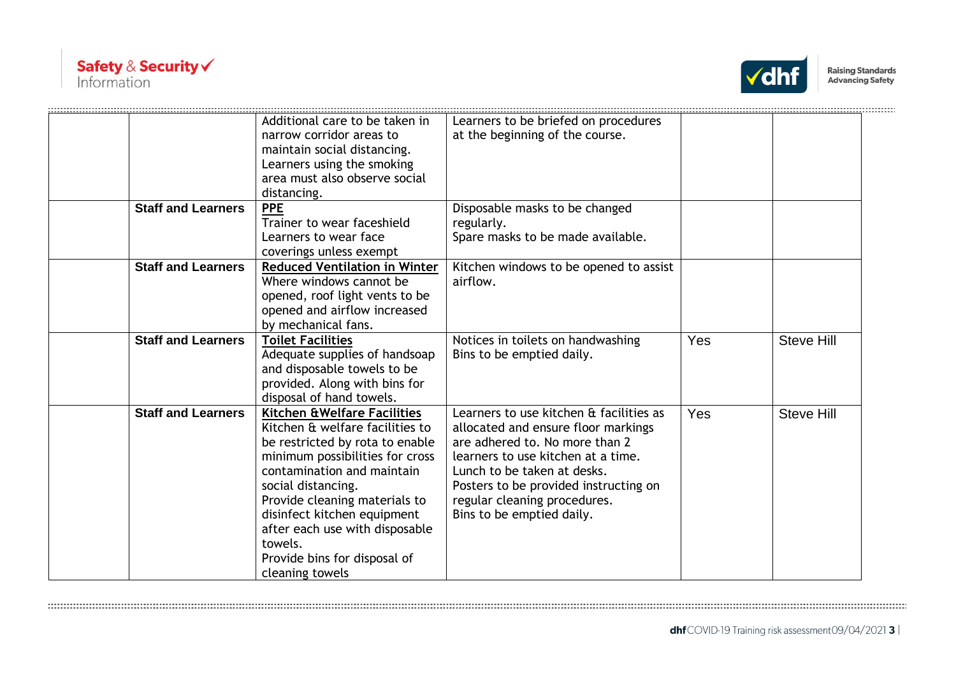



|                           | Additional care to be taken in<br>narrow corridor areas to<br>maintain social distancing.<br>Learners using the smoking<br>area must also observe social<br>distancing.                                                                                                                                                                                   | Learners to be briefed on procedures<br>at the beginning of the course.                                                                                                                                                                                                                     |     |                   |
|---------------------------|-----------------------------------------------------------------------------------------------------------------------------------------------------------------------------------------------------------------------------------------------------------------------------------------------------------------------------------------------------------|---------------------------------------------------------------------------------------------------------------------------------------------------------------------------------------------------------------------------------------------------------------------------------------------|-----|-------------------|
| <b>Staff and Learners</b> | <b>PPE</b><br>Trainer to wear faceshield<br>Learners to wear face<br>coverings unless exempt                                                                                                                                                                                                                                                              | Disposable masks to be changed<br>regularly.<br>Spare masks to be made available.                                                                                                                                                                                                           |     |                   |
| <b>Staff and Learners</b> | <b>Reduced Ventilation in Winter</b><br>Where windows cannot be<br>opened, roof light vents to be<br>opened and airflow increased<br>by mechanical fans.                                                                                                                                                                                                  | Kitchen windows to be opened to assist<br>airflow.                                                                                                                                                                                                                                          |     |                   |
| <b>Staff and Learners</b> | <b>Toilet Facilities</b><br>Adequate supplies of handsoap<br>and disposable towels to be<br>provided. Along with bins for<br>disposal of hand towels.                                                                                                                                                                                                     | Notices in toilets on handwashing<br>Bins to be emptied daily.                                                                                                                                                                                                                              | Yes | <b>Steve Hill</b> |
| <b>Staff and Learners</b> | Kitchen & Welfare Facilities<br>Kitchen & welfare facilities to<br>be restricted by rota to enable<br>minimum possibilities for cross<br>contamination and maintain<br>social distancing.<br>Provide cleaning materials to<br>disinfect kitchen equipment<br>after each use with disposable<br>towels.<br>Provide bins for disposal of<br>cleaning towels | Learners to use kitchen & facilities as<br>allocated and ensure floor markings<br>are adhered to. No more than 2<br>learners to use kitchen at a time.<br>Lunch to be taken at desks.<br>Posters to be provided instructing on<br>regular cleaning procedures.<br>Bins to be emptied daily. | Yes | <b>Steve Hill</b> |